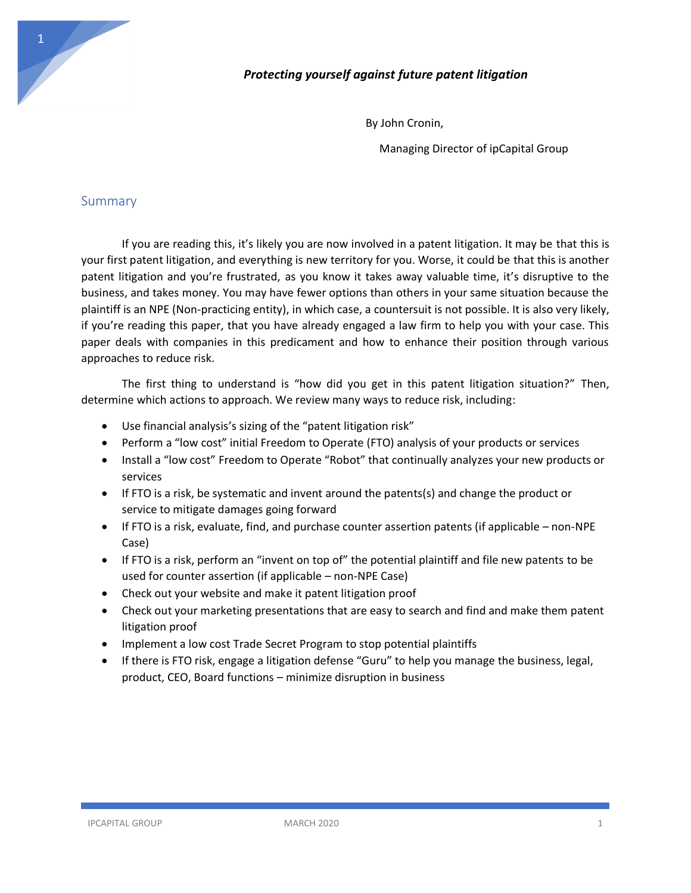

## *Protecting yourself against future patent litigation*

By John Cronin,

Managing Director of ipCapital Group

## Summary

If you are reading this, it's likely you are now involved in a patent litigation. It may be that this is your first patent litigation, and everything is new territory for you. Worse, it could be that this is another patent litigation and you're frustrated, as you know it takes away valuable time, it's disruptive to the business, and takes money. You may have fewer options than others in your same situation because the plaintiff is an NPE (Non-practicing entity), in which case, a countersuit is not possible. It is also very likely, if you're reading this paper, that you have already engaged a law firm to help you with your case. This paper deals with companies in this predicament and how to enhance their position through various approaches to reduce risk.

The first thing to understand is "how did you get in this patent litigation situation?" Then, determine which actions to approach. We review many ways to reduce risk, including:

- Use financial analysis's sizing of the "patent litigation risk"
- Perform a "low cost" initial Freedom to Operate (FTO) analysis of your products or services
- Install a "low cost" Freedom to Operate "Robot" that continually analyzes your new products or services
- If FTO is a risk, be systematic and invent around the patents(s) and change the product or service to mitigate damages going forward
- If FTO is a risk, evaluate, find, and purchase counter assertion patents (if applicable non-NPE Case)
- If FTO is a risk, perform an "invent on top of" the potential plaintiff and file new patents to be used for counter assertion (if applicable – non-NPE Case)
- Check out your website and make it patent litigation proof
- Check out your marketing presentations that are easy to search and find and make them patent litigation proof
- Implement a low cost Trade Secret Program to stop potential plaintiffs
- If there is FTO risk, engage a litigation defense "Guru" to help you manage the business, legal, product, CEO, Board functions – minimize disruption in business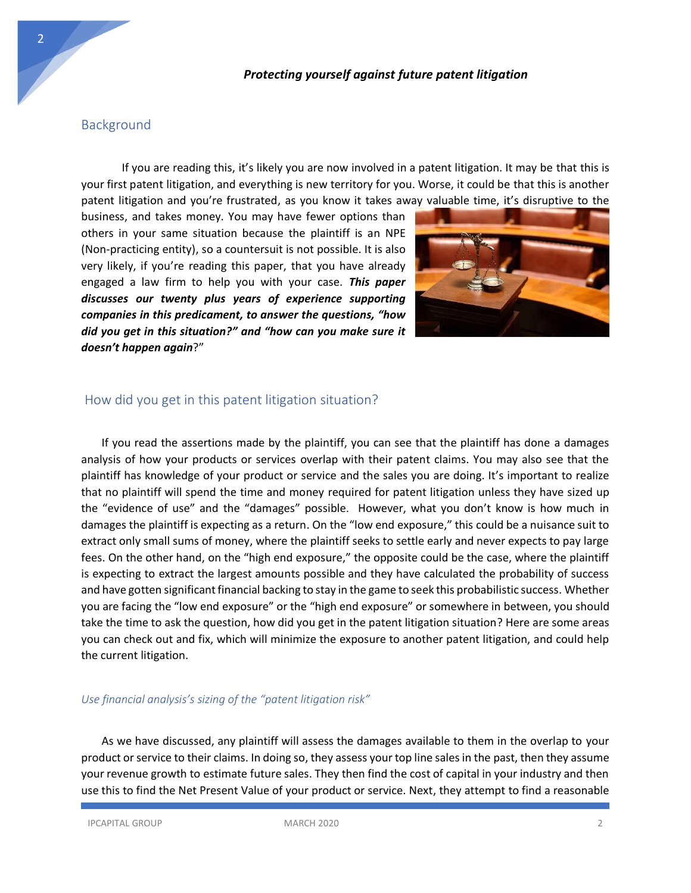#### *Protecting yourself against future patent litigation*

### Background

2

If you are reading this, it's likely you are now involved in a patent litigation. It may be that this is your first patent litigation, and everything is new territory for you. Worse, it could be that this is another patent litigation and you're frustrated, as you know it takes away valuable time, it's disruptive to the

business, and takes money. You may have fewer options than others in your same situation because the plaintiff is an NPE (Non-practicing entity), so a countersuit is not possible. It is also very likely, if you're reading this paper, that you have already engaged a law firm to help you with your case. *This paper discusses our twenty plus years of experience supporting companies in this predicament, to answer the questions, "how did you get in this situation?" and "how can you make sure it doesn't happen again*?"



### How did you get in this patent litigation situation?

If you read the assertions made by the plaintiff, you can see that the plaintiff has done a damages analysis of how your products or services overlap with their patent claims. You may also see that the plaintiff has knowledge of your product or service and the sales you are doing. It's important to realize that no plaintiff will spend the time and money required for patent litigation unless they have sized up the "evidence of use" and the "damages" possible. However, what you don't know is how much in damages the plaintiff is expecting as a return. On the "low end exposure," this could be a nuisance suit to extract only small sums of money, where the plaintiff seeks to settle early and never expects to pay large fees. On the other hand, on the "high end exposure," the opposite could be the case, where the plaintiff is expecting to extract the largest amounts possible and they have calculated the probability of success and have gotten significant financial backing to stay in the game to seek this probabilistic success. Whether you are facing the "low end exposure" or the "high end exposure" or somewhere in between, you should take the time to ask the question, how did you get in the patent litigation situation? Here are some areas you can check out and fix, which will minimize the exposure to another patent litigation, and could help the current litigation.

#### *Use financial analysis's sizing of the "patent litigation risk"*

As we have discussed, any plaintiff will assess the damages available to them in the overlap to your product or service to their claims. In doing so, they assess your top line sales in the past, then they assume your revenue growth to estimate future sales. They then find the cost of capital in your industry and then use this to find the Net Present Value of your product or service. Next, they attempt to find a reasonable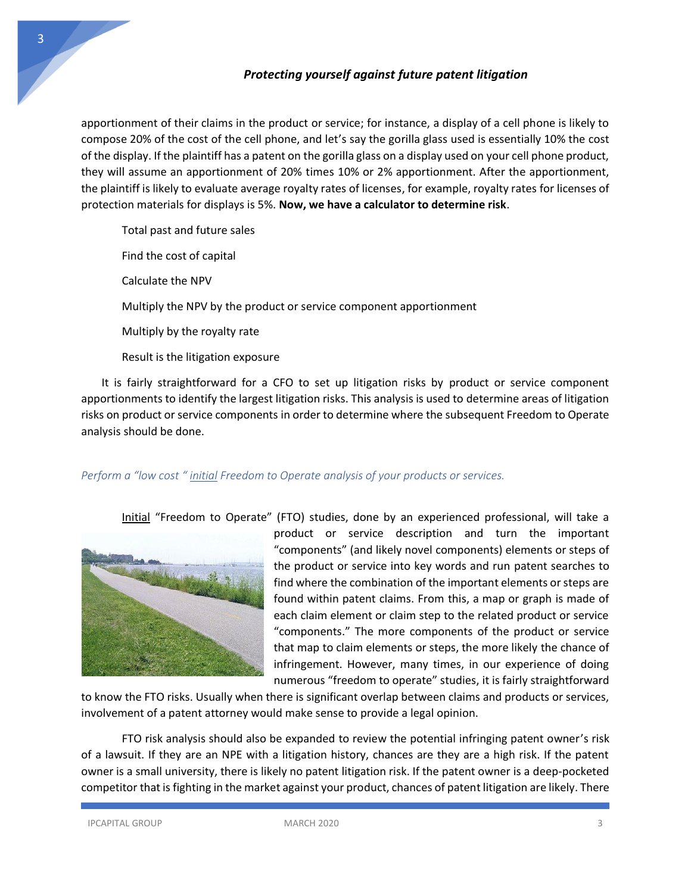apportionment of their claims in the product or service; for instance, a display of a cell phone is likely to compose 20% of the cost of the cell phone, and let's say the gorilla glass used is essentially 10% the cost of the display. If the plaintiff has a patent on the gorilla glass on a display used on your cell phone product, they will assume an apportionment of 20% times 10% or 2% apportionment. After the apportionment, the plaintiff is likely to evaluate average royalty rates of licenses, for example, royalty rates for licenses of protection materials for displays is 5%. **Now, we have a calculator to determine risk**.

Total past and future sales

Find the cost of capital

Calculate the NPV

Multiply the NPV by the product or service component apportionment

Multiply by the royalty rate

Result is the litigation exposure

It is fairly straightforward for a CFO to set up litigation risks by product or service component apportionments to identify the largest litigation risks. This analysis is used to determine areas of litigation risks on product or service components in order to determine where the subsequent Freedom to Operate analysis should be done.

## *Perform a "low cost " initial Freedom to Operate analysis of your products or services.*

Initial "Freedom to Operate" (FTO) studies, done by an experienced professional, will take a



product or service description and turn the important "components" (and likely novel components) elements or steps of the product or service into key words and run patent searches to find where the combination of the important elements or steps are found within patent claims. From this, a map or graph is made of each claim element or claim step to the related product or service "components." The more components of the product or service that map to claim elements or steps, the more likely the chance of infringement. However, many times, in our experience of doing numerous "freedom to operate" studies, it is fairly straightforward

to know the FTO risks. Usually when there is significant overlap between claims and products or services, involvement of a patent attorney would make sense to provide a legal opinion.

FTO risk analysis should also be expanded to review the potential infringing patent owner's risk of a lawsuit. If they are an NPE with a litigation history, chances are they are a high risk. If the patent owner is a small university, there is likely no patent litigation risk. If the patent owner is a deep-pocketed competitor that is fighting in the market against your product, chances of patent litigation are likely. There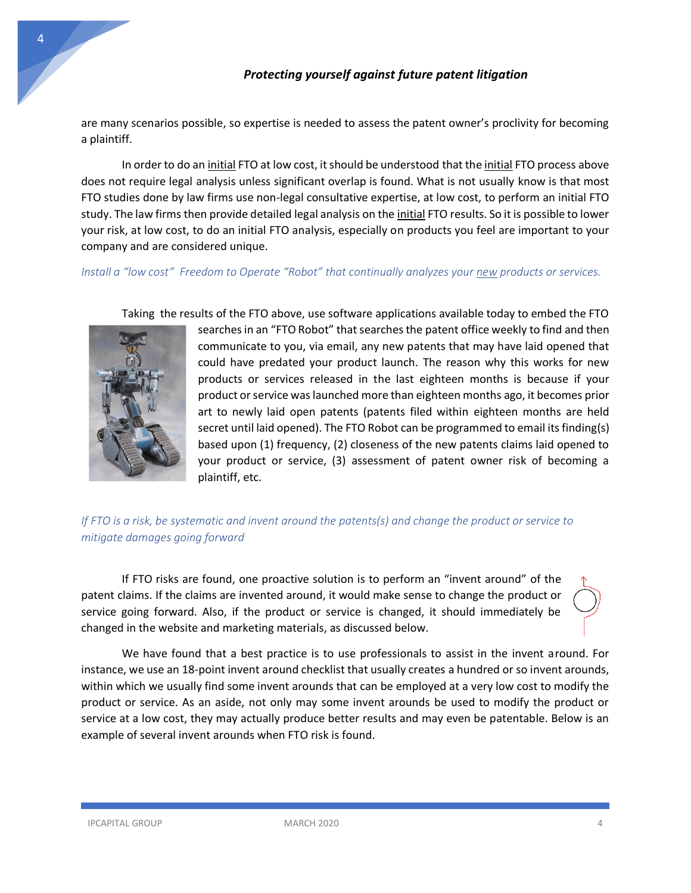are many scenarios possible, so expertise is needed to assess the patent owner's proclivity for becoming a plaintiff.

In order to do an initial FTO at low cost, it should be understood that the initial FTO process above does not require legal analysis unless significant overlap is found. What is not usually know is that most FTO studies done by law firms use non-legal consultative expertise, at low cost, to perform an initial FTO study. The law firms then provide detailed legal analysis on the initial FTO results. So it is possible to lower your risk, at low cost, to do an initial FTO analysis, especially on products you feel are important to your company and are considered unique.

*Install a "low cost" Freedom to Operate "Robot" that continually analyzes your new products or services.*



Taking the results of the FTO above, use software applications available today to embed the FTO

searches in an "FTO Robot" that searches the patent office weekly to find and then communicate to you, via email, any new patents that may have laid opened that could have predated your product launch. The reason why this works for new products or services released in the last eighteen months is because if your product or service was launched more than eighteen months ago, it becomes prior art to newly laid open patents (patents filed within eighteen months are held secret until laid opened). The FTO Robot can be programmed to email its finding(s) based upon (1) frequency, (2) closeness of the new patents claims laid opened to your product or service, (3) assessment of patent owner risk of becoming a plaintiff, etc.

# *If FTO is a risk, be systematic and invent around the patents(s) and change the product or service to mitigate damages going forward*

If FTO risks are found, one proactive solution is to perform an "invent around" of the patent claims. If the claims are invented around, it would make sense to change the product or service going forward. Also, if the product or service is changed, it should immediately be changed in the website and marketing materials, as discussed below.

We have found that a best practice is to use professionals to assist in the invent around. For instance, we use an 18-point invent around checklist that usually creates a hundred or so invent arounds, within which we usually find some invent arounds that can be employed at a very low cost to modify the product or service. As an aside, not only may some invent arounds be used to modify the product or service at a low cost, they may actually produce better results and may even be patentable. Below is an example of several invent arounds when FTO risk is found.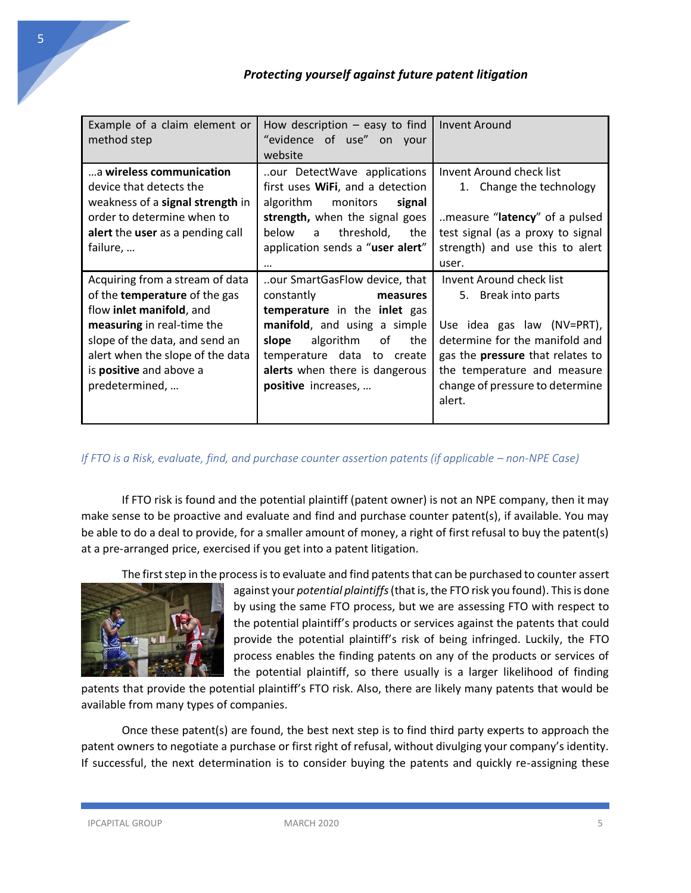| Example of a claim element or<br>method step                                                                                                                                                                                                  | How description $-$ easy to find<br>"evidence of use" on your<br>website                                                                                                                                                                          | Invent Around                                                                                                                                                                                                                          |
|-----------------------------------------------------------------------------------------------------------------------------------------------------------------------------------------------------------------------------------------------|---------------------------------------------------------------------------------------------------------------------------------------------------------------------------------------------------------------------------------------------------|----------------------------------------------------------------------------------------------------------------------------------------------------------------------------------------------------------------------------------------|
| a wireless communication<br>device that detects the<br>weakness of a signal strength in<br>order to determine when to<br>alert the user as a pending call<br>failure,                                                                         | our DetectWave applications<br>first uses WiFi, and a detection<br>algorithm<br>monitors<br>signal<br>strength, when the signal goes<br>threshold,<br>below<br>$\mathsf{a}$<br>the<br>application sends a "user alert"<br>                        | Invent Around check list<br>1. Change the technology<br>measure "latency" of a pulsed<br>test signal (as a proxy to signal<br>strength) and use this to alert<br>user.                                                                 |
| Acquiring from a stream of data<br>of the temperature of the gas<br>flow inlet manifold, and<br>measuring in real-time the<br>slope of the data, and send an<br>alert when the slope of the data<br>is positive and above a<br>predetermined, | our SmartGasFlow device, that<br>constantly<br>measures<br>temperature in the inlet gas<br>manifold, and using a simple<br>algorithm<br>slope<br>the<br>of<br>temperature data to create<br>alerts when there is dangerous<br>positive increases, | Invent Around check list<br>5. Break into parts<br>Use idea gas law (NV=PRT),<br>determine for the manifold and<br>gas the <b>pressure</b> that relates to<br>the temperature and measure<br>change of pressure to determine<br>alert. |

*If FTO is a Risk, evaluate, find, and purchase counter assertion patents (if applicable – non-NPE Case)* 

If FTO risk is found and the potential plaintiff (patent owner) is not an NPE company, then it may make sense to be proactive and evaluate and find and purchase counter patent(s), if available. You may be able to do a deal to provide, for a smaller amount of money, a right of first refusal to buy the patent(s) at a pre-arranged price, exercised if you get into a patent litigation.

The first step in the process is to evaluate and find patents that can be purchased to counter assert



against your *potential plaintiffs* (that is, the FTO risk you found). This is done by using the same FTO process, but we are assessing FTO with respect to the potential plaintiff's products or services against the patents that could provide the potential plaintiff's risk of being infringed. Luckily, the FTO process enables the finding patents on any of the products or services of the potential plaintiff, so there usually is a larger likelihood of finding

patents that provide the potential plaintiff's FTO risk. Also, there are likely many patents that would be available from many types of companies.

Once these patent(s) are found, the best next step is to find third party experts to approach the patent owners to negotiate a purchase or first right of refusal, without divulging your company's identity. If successful, the next determination is to consider buying the patents and quickly re-assigning these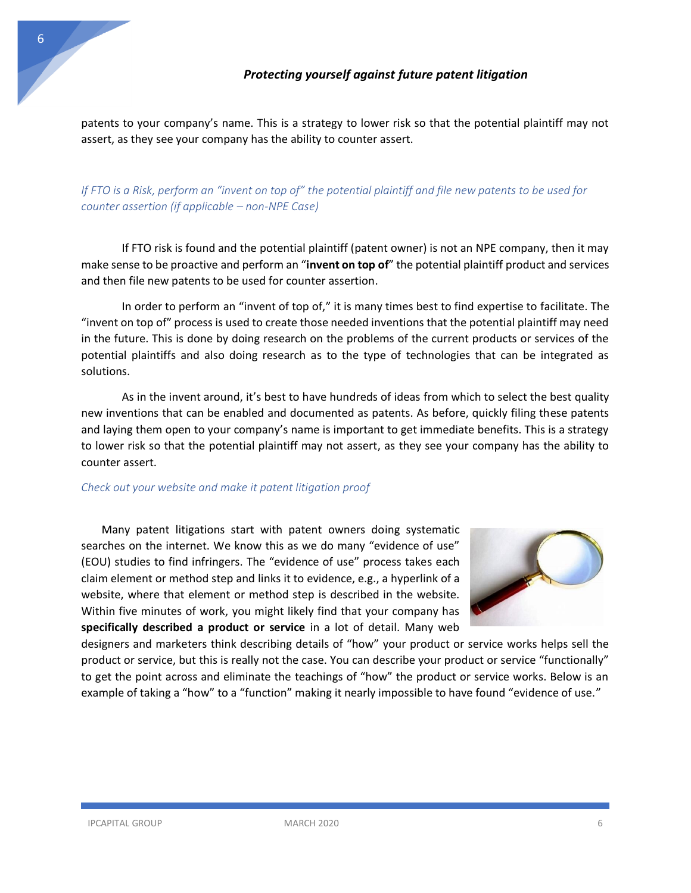patents to your company's name. This is a strategy to lower risk so that the potential plaintiff may not assert, as they see your company has the ability to counter assert.

*If FTO is a Risk, perform an "invent on top of" the potential plaintiff and file new patents to be used for counter assertion (if applicable – non-NPE Case)*

If FTO risk is found and the potential plaintiff (patent owner) is not an NPE company, then it may make sense to be proactive and perform an "**invent on top of**" the potential plaintiff product and services and then file new patents to be used for counter assertion.

In order to perform an "invent of top of," it is many times best to find expertise to facilitate. The "invent on top of" process is used to create those needed inventions that the potential plaintiff may need in the future. This is done by doing research on the problems of the current products or services of the potential plaintiffs and also doing research as to the type of technologies that can be integrated as solutions.

As in the invent around, it's best to have hundreds of ideas from which to select the best quality new inventions that can be enabled and documented as patents. As before, quickly filing these patents and laying them open to your company's name is important to get immediate benefits. This is a strategy to lower risk so that the potential plaintiff may not assert, as they see your company has the ability to counter assert.

### *Check out your website and make it patent litigation proof*

Many patent litigations start with patent owners doing systematic searches on the internet. We know this as we do many "evidence of use" (EOU) studies to find infringers. The "evidence of use" process takes each claim element or method step and links it to evidence, e.g., a hyperlink of a website, where that element or method step is described in the website. Within five minutes of work, you might likely find that your company has **specifically described a product or service** in a lot of detail. Many web



designers and marketers think describing details of "how" your product or service works helps sell the product or service, but this is really not the case. You can describe your product or service "functionally" to get the point across and eliminate the teachings of "how" the product or service works. Below is an example of taking a "how" to a "function" making it nearly impossible to have found "evidence of use."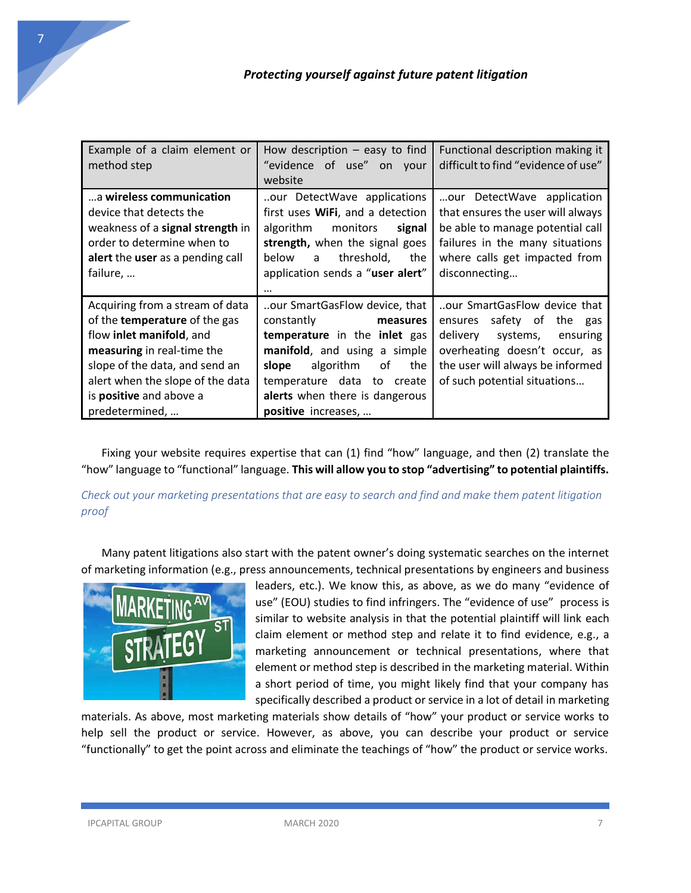| Example of a claim element or<br>method step                                                                                                                                                                                                         | How description $-$ easy to find<br>"evidence of use" on your<br>website                                                                                                                                                                             | Functional description making it<br>difficult to find "evidence of use"                                                                                                                         |
|------------------------------------------------------------------------------------------------------------------------------------------------------------------------------------------------------------------------------------------------------|------------------------------------------------------------------------------------------------------------------------------------------------------------------------------------------------------------------------------------------------------|-------------------------------------------------------------------------------------------------------------------------------------------------------------------------------------------------|
| a wireless communication<br>device that detects the<br>weakness of a signal strength in<br>order to determine when to<br>alert the user as a pending call<br>failure,                                                                                | our DetectWave applications<br>first uses WiFi, and a detection<br>algorithm<br>monitors<br>signal<br>strength, when the signal goes<br>threshold,<br>below<br>the<br>a<br>application sends a "user alert"<br>$\cdots$                              | our DetectWave application<br>that ensures the user will always<br>be able to manage potential call<br>failures in the many situations<br>where calls get impacted from<br>disconnecting        |
| Acquiring from a stream of data<br>of the <b>temperature</b> of the gas<br>flow inlet manifold, and<br>measuring in real-time the<br>slope of the data, and send an<br>alert when the slope of the data<br>is positive and above a<br>predetermined, | our SmartGasFlow device, that<br>constantly<br>measures<br>temperature in the inlet gas<br>manifold, and using a simple<br>slope<br>algorithm<br>the<br>οf<br>temperature data to<br>create<br>alerts when there is dangerous<br>positive increases, | our SmartGasFlow device that<br>safety of the gas<br>ensures<br>delivery systems, ensuring<br>overheating doesn't occur, as<br>the user will always be informed<br>of such potential situations |

Fixing your website requires expertise that can (1) find "how" language, and then (2) translate the "how" language to "functional" language. **This will allow you to stop "advertising" to potential plaintiffs.**

*Check out your marketing presentations that are easy to search and find and make them patent litigation proof*

Many patent litigations also start with the patent owner's doing systematic searches on the internet of marketing information (e.g., press announcements, technical presentations by engineers and business



leaders, etc.). We know this, as above, as we do many "evidence of use" (EOU) studies to find infringers. The "evidence of use" process is similar to website analysis in that the potential plaintiff will link each claim element or method step and relate it to find evidence, e.g., a marketing announcement or technical presentations, where that element or method step is described in the marketing material. Within a short period of time, you might likely find that your company has specifically described a product or service in a lot of detail in marketing

materials. As above, most marketing materials show details of "how" your product or service works to help sell the product or service. However, as above, you can describe your product or service "functionally" to get the point across and eliminate the teachings of "how" the product or service works.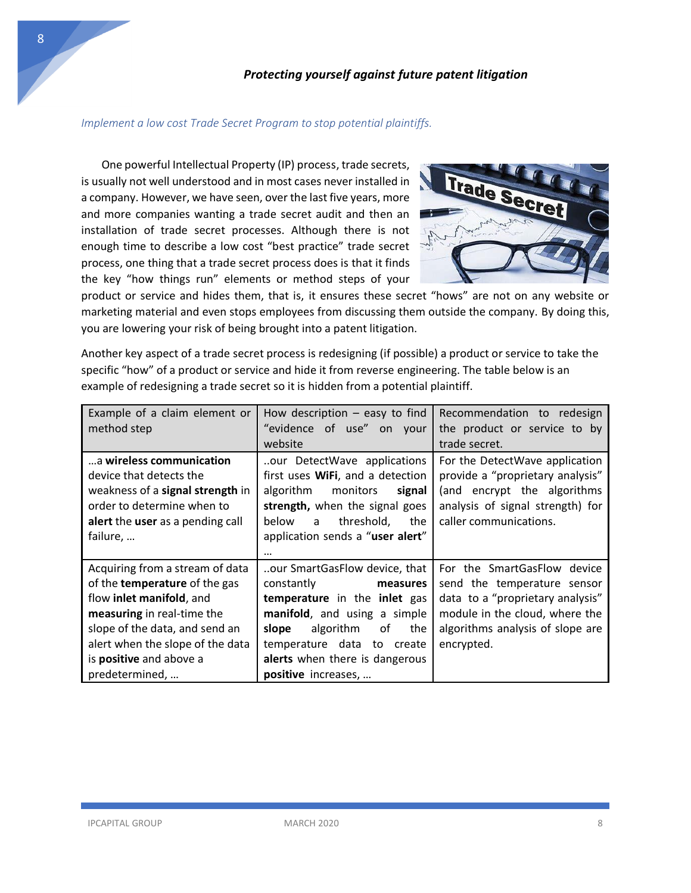#### *Implement a low cost Trade Secret Program to stop potential plaintiffs.*

One powerful Intellectual Property (IP) process, trade secrets, is usually not well understood and in most cases never installed in a company. However, we have seen, over the last five years, more and more companies wanting a trade secret audit and then an installation of trade secret processes. Although there is not enough time to describe a low cost "best practice" trade secret process, one thing that a trade secret process does is that it finds the key "how things run" elements or method steps of your



product or service and hides them, that is, it ensures these secret "hows" are not on any website or marketing material and even stops employees from discussing them outside the company. By doing this, you are lowering your risk of being brought into a patent litigation.

Another key aspect of a trade secret process is redesigning (if possible) a product or service to take the specific "how" of a product or service and hide it from reverse engineering. The table below is an example of redesigning a trade secret so it is hidden from a potential plaintiff.

| Example of a claim element or<br>method step                                                                                                                                                                                                         | How description $-$ easy to find<br>"evidence of use"<br>on your<br>website                                                                                                                                                                          | Recommendation to redesign<br>the product or service to by<br>trade secret.                                                                                                        |
|------------------------------------------------------------------------------------------------------------------------------------------------------------------------------------------------------------------------------------------------------|------------------------------------------------------------------------------------------------------------------------------------------------------------------------------------------------------------------------------------------------------|------------------------------------------------------------------------------------------------------------------------------------------------------------------------------------|
| a wireless communication<br>device that detects the<br>weakness of a signal strength in<br>order to determine when to<br>alert the user as a pending call<br>failure,                                                                                | our DetectWave applications<br>first uses WiFi, and a detection<br>algorithm<br>monitors<br>signal<br>strength, when the signal goes<br>threshold,<br>below<br>a<br>the<br>application sends a "user alert"<br>$\cdots$                              | For the DetectWave application<br>provide a "proprietary analysis"<br>(and encrypt the algorithms<br>analysis of signal strength) for<br>caller communications.                    |
| Acquiring from a stream of data<br>of the <b>temperature</b> of the gas<br>flow inlet manifold, and<br>measuring in real-time the<br>slope of the data, and send an<br>alert when the slope of the data<br>is positive and above a<br>predetermined, | our SmartGasFlow device, that<br>constantly<br>measures<br>temperature in the inlet gas<br>manifold, and using a simple<br>algorithm<br>0f<br>slope<br>the<br>temperature data to<br>create<br>alerts when there is dangerous<br>positive increases, | For the SmartGasFlow device<br>send the temperature sensor<br>data to a "proprietary analysis"<br>module in the cloud, where the<br>algorithms analysis of slope are<br>encrypted. |